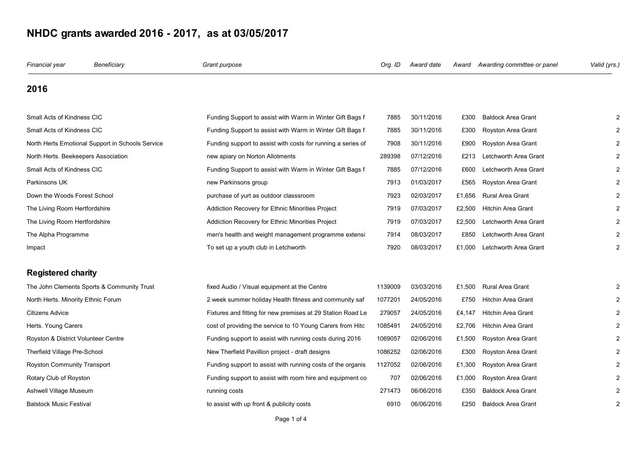| Financial year                      | Beneficiary                                      | Grant purpose                                                | Org. ID | Award date | Award  | Awarding committee or panel | Valid (yrs.)   |
|-------------------------------------|--------------------------------------------------|--------------------------------------------------------------|---------|------------|--------|-----------------------------|----------------|
| 2016                                |                                                  |                                                              |         |            |        |                             |                |
| Small Acts of Kindness CIC          |                                                  | Funding Support to assist with Warm in Winter Gift Bags f    | 7885    | 30/11/2016 | £300   | <b>Baldock Area Grant</b>   |                |
| Small Acts of Kindness CIC          |                                                  | Funding Support to assist with Warm in Winter Gift Bags f    | 7885    | 30/11/2016 | £300   | Royston Area Grant          |                |
|                                     | North Herts Emotional Support in Schools Service | Funding support to assist with costs for running a series of | 7908    | 30/11/2016 | £900   | Royston Area Grant          |                |
| North Herts. Beekeepers Association |                                                  | new apiary on Norton Allotments                              | 289398  | 07/12/2016 | £213   | Letchworth Area Grant       |                |
| Small Acts of Kindness CIC          |                                                  | Funding Support to assist with Warm in Winter Gift Bags f    | 7885    | 07/12/2016 | £600   | Letchworth Area Grant       |                |
| Parkinsons UK                       |                                                  | new Parkinsons group                                         | 7913    | 01/03/2017 | £565   | Royston Area Grant          |                |
| Down the Woods Forest School        |                                                  | purchase of yurt as outdoor classsroom                       | 7923    | 02/03/2017 | £1,656 | Rural Area Grant            |                |
| The Living Room Hertfordshire       |                                                  | Addiction Recovery for Ethnic Minorities Project             | 7919    | 07/03/2017 | £2,500 | <b>Hitchin Area Grant</b>   |                |
| The Living Room Hertfordshire       |                                                  | Addiction Recovery for Ethnic Minorities Project             | 7919    | 07/03/2017 | £2,500 | Letchworth Area Grant       |                |
| The Alpha Programme                 |                                                  | men's health and weight management programme extensi         | 7914    | 08/03/2017 | £850   | Letchworth Area Grant       |                |
| Impact                              |                                                  | To set up a youth club in Letchworth                         | 7920    | 08/03/2017 | £1,000 | Letchworth Area Grant       |                |
| <b>Registered charity</b>           |                                                  |                                                              |         |            |        |                             |                |
|                                     | The John Clements Sports & Community Trust       | fixed Audio / Visual equipment at the Centre                 | 1139009 | 03/03/2016 | £1,500 | Rural Area Grant            |                |
| North Herts. Minority Ethnic Forum  |                                                  | 2 week summer holiday Health fitness and community saf       | 1077201 | 24/05/2016 | £750   | <b>Hitchin Area Grant</b>   |                |
| Citizens Advice                     |                                                  | Fixtures and fitting for new premises at 29 Station Road Le  | 279057  | 24/05/2016 | £4,147 | <b>Hitchin Area Grant</b>   |                |
| Herts. Young Carers                 |                                                  | cost of providing the service to 10 Young Carers from Hitc   | 1085491 | 24/05/2016 | £2,706 | <b>Hitchin Area Grant</b>   |                |
| Royston & District Volunteer Centre |                                                  | Funding support to assist with running costs during 2016     | 1069057 | 02/06/2016 | £1,500 | Royston Area Grant          |                |
| Therfield Village Pre-School        |                                                  | New Therfield Pavillion project - draft designs              | 1086252 | 02/06/2016 | £300   | Royston Area Grant          |                |
| Royston Community Transport         |                                                  | Funding support to assist with running costs of the organis  | 1127052 | 02/06/2016 | £1,300 | Royston Area Grant          |                |
| Rotary Club of Royston              |                                                  | Funding support to assist with room hire and equipment co    | 707     | 02/06/2016 | £1,000 | Royston Area Grant          |                |
| Ashwell Village Museum              |                                                  | running costs                                                | 271473  | 06/06/2016 | £350   | <b>Baldock Area Grant</b>   |                |
| Balstock Music Festival             |                                                  | to assist with up front & publicity costs                    | 6910    | 06/06/2016 | £250   | <b>Baldock Area Grant</b>   | $\overline{2}$ |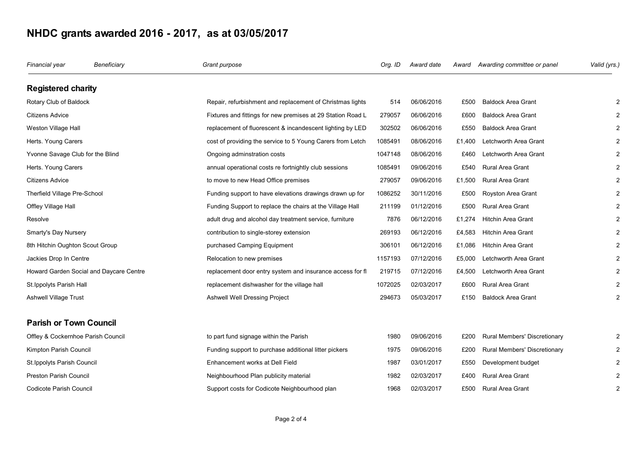| Financial year                     | Beneficiary                             | Grant purpose                                               | Org. ID | Award date | Award  | Awarding committee or panel         | Valid (yrs.)   |
|------------------------------------|-----------------------------------------|-------------------------------------------------------------|---------|------------|--------|-------------------------------------|----------------|
| <b>Registered charity</b>          |                                         |                                                             |         |            |        |                                     |                |
| Rotary Club of Baldock             |                                         | Repair, refurbishment and replacement of Christmas lights   | 514     | 06/06/2016 | £500   | <b>Baldock Area Grant</b>           |                |
| <b>Citizens Advice</b>             |                                         | Fixtures and fittings for new premises at 29 Station Road L | 279057  | 06/06/2016 | £600   | <b>Baldock Area Grant</b>           |                |
| Weston Village Hall                |                                         | replacement of fluorescent & incandescent lighting by LED   | 302502  | 06/06/2016 | £550   | <b>Baldock Area Grant</b>           |                |
| Herts. Young Carers                |                                         | cost of providing the service to 5 Young Carers from Letch  | 1085491 | 08/06/2016 | £1,400 | Letchworth Area Grant               |                |
| Yvonne Savage Club for the Blind   |                                         | Ongoing adminstration costs                                 | 1047148 | 08/06/2016 | £460   | Letchworth Area Grant               |                |
| Herts. Young Carers                |                                         | annual operational costs re fortnightly club sessions       | 1085491 | 09/06/2016 | £540   | <b>Rural Area Grant</b>             |                |
| Citizens Advice                    |                                         | to move to new Head Office premises                         | 279057  | 09/06/2016 | £1,500 | <b>Rural Area Grant</b>             |                |
| Therfield Village Pre-School       |                                         | Funding support to have elevations drawings drawn up for    | 1086252 | 30/11/2016 | £500   | Royston Area Grant                  |                |
| Offley Village Hall                |                                         | Funding Support to replace the chairs at the Village Hall   | 211199  | 01/12/2016 | £500   | <b>Rural Area Grant</b>             |                |
| Resolve                            |                                         | adult drug and alcohol day treatment service, furniture     | 7876    | 06/12/2016 | £1,274 | <b>Hitchin Area Grant</b>           |                |
| Smarty's Day Nursery               |                                         | contribution to single-storey extension                     | 269193  | 06/12/2016 | £4,583 | <b>Hitchin Area Grant</b>           |                |
| 8th Hitchin Oughton Scout Group    |                                         | purchased Camping Equipment                                 | 306101  | 06/12/2016 | £1.086 | <b>Hitchin Area Grant</b>           |                |
| Jackies Drop In Centre             |                                         | Relocation to new premises                                  | 1157193 | 07/12/2016 | £5,000 | Letchworth Area Grant               |                |
|                                    | Howard Garden Social and Daycare Centre | replacement door entry system and insurance access for fl   | 219715  | 07/12/2016 | £4,500 | Letchworth Area Grant               |                |
| St. Ippolyts Parish Hall           |                                         | replacement dishwasher for the village hall                 | 1072025 | 02/03/2017 | £600   | <b>Rural Area Grant</b>             |                |
| Ashwell Village Trust              |                                         | Ashwell Well Dressing Project                               | 294673  | 05/03/2017 | £150   | <b>Baldock Area Grant</b>           |                |
| <b>Parish or Town Council</b>      |                                         |                                                             |         |            |        |                                     |                |
| Offley & Cockernhoe Parish Council |                                         | to part fund signage within the Parish                      | 1980    | 09/06/2016 | £200   | Rural Members' Discretionary        |                |
| Kimpton Parish Council             |                                         | Funding support to purchase additional litter pickers       | 1975    | 09/06/2016 | £200   | <b>Rural Members' Discretionary</b> |                |
| St. Ippolyts Parish Council        |                                         | Enhancement works at Dell Field                             | 1987    | 03/01/2017 | £550   | Development budget                  |                |
| Preston Parish Council             |                                         | Neighbourhood Plan publicity material                       | 1982    | 02/03/2017 | £400   | <b>Rural Area Grant</b>             |                |
| Codicote Parish Council            |                                         | Support costs for Codicote Neighbourhood plan               | 1968    | 02/03/2017 | £500   | <b>Rural Area Grant</b>             | $\overline{2}$ |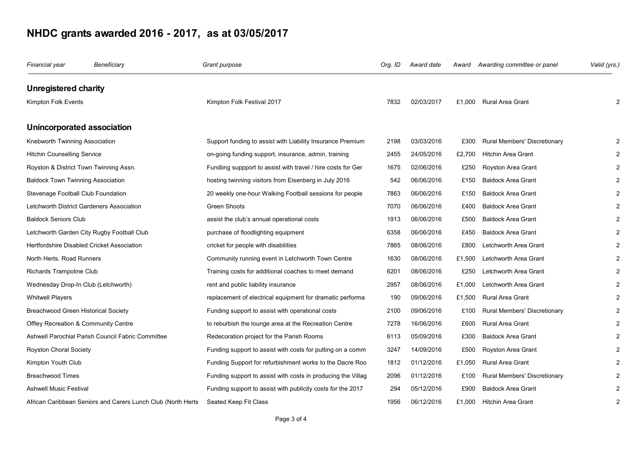| Financial year                           | Beneficiary                                                  | Grant purpose                                                | Org. ID | Award date | Award  | Awarding committee or panel  | Valid (yrs.)   |
|------------------------------------------|--------------------------------------------------------------|--------------------------------------------------------------|---------|------------|--------|------------------------------|----------------|
| <b>Unregistered charity</b>              |                                                              |                                                              |         |            |        |                              |                |
| Kimpton Folk Events                      |                                                              | Kimpton Folk Festival 2017                                   | 7832    | 02/03/2017 |        | £1,000 Rural Area Grant      | $\mathcal{P}$  |
| Unincorporated association               |                                                              |                                                              |         |            |        |                              |                |
| Knebworth Twinning Association           |                                                              | Support funding to assist with Liability Insurance Premium   | 2198    | 03/03/2016 | £300   | Rural Members' Discretionary | 2              |
| <b>Hitchin Counselling Service</b>       |                                                              | on-going funding support, insurance, admin, training         | 2455    | 24/05/2016 | £2,700 | <b>Hitchin Area Grant</b>    | $\overline{2}$ |
| Royston & District Town Twinning Assn.   |                                                              | Fundiing suppport to assist with travel / hire costs for Ger | 1675    | 02/06/2016 | £250   | Royston Area Grant           | 2              |
| <b>Baldock Town Twinning Association</b> |                                                              | hosting twinning visitors from Eisenberg in July 2016        | 542     | 06/06/2016 | £150   | <b>Baldock Area Grant</b>    | $\overline{2}$ |
| Stevenage Football Club Foundation       |                                                              | 20 weekly one-hour Walking Football sessions for people      | 7863    | 06/06/2016 | £150   | <b>Baldock Area Grant</b>    | 2              |
|                                          | Letchworth District Gardeners Association                    | Green Shoots                                                 | 7070    | 06/06/2016 | £400   | <b>Baldock Area Grant</b>    | $\overline{2}$ |
| <b>Baldock Seniors Club</b>              |                                                              | assist the club's annual operational costs                   | 1913    | 06/06/2016 | £500   | <b>Baldock Area Grant</b>    | $\overline{2}$ |
|                                          | Letchworth Garden City Rugby Football Club                   | purchase of floodlighting equipment                          | 6358    | 06/06/2016 | £450   | <b>Baldock Area Grant</b>    | 2              |
|                                          | Hertfordshire Disabled Cricket Association                   | cricket for people with disabilities                         | 7865    | 08/06/2016 | £800   | Letchworth Area Grant        |                |
| North Herts. Road Runners                |                                                              | Community running event in Letchworth Town Centre            | 1630    | 08/06/2016 | £1,500 | Letchworth Area Grant        | 2              |
| Richards Trampoline Club                 |                                                              | Training costs for additional coaches to meet demand         | 6201    | 08/06/2016 | £250   | Letchworth Area Grant        | $\overline{2}$ |
| Wednesday Drop-In Club (Letchworth)      |                                                              | rent and public liability insurance                          | 2957    | 08/06/2016 | £1,000 | Letchworth Area Grant        | $\overline{2}$ |
| <b>Whitwell Players</b>                  |                                                              | replacement of electrical equipment for dramatic performa    | 190     | 09/06/2016 | £1,500 | <b>Rural Area Grant</b>      | $\overline{c}$ |
| Breachwood Green Historical Society      |                                                              | Funding support to assist with operational costs             | 2100    | 09/06/2016 | £100   | Rural Members' Discretionary | $\overline{2}$ |
| Offley Recreation & Community Centre     |                                                              | to reburbish the lounge area at the Recreation Centre        | 7278    | 16/06/2016 | £600   | <b>Rural Area Grant</b>      | 2              |
|                                          | Ashwell Parochial Parish Council Fabric Committee            | Redecoration project for the Parish Rooms                    | 6113    | 05/09/2016 | £300   | <b>Baldock Area Grant</b>    | $\overline{2}$ |
| Royston Choral Society                   |                                                              | Funding support to assist with costs for putting on a comm   | 3247    | 14/09/2016 | £500   | Royston Area Grant           | $\overline{2}$ |
| Kimpton Youth Club                       |                                                              | Funding Support for refurbishment works to the Dacre Roo     | 1812    | 01/12/2016 | £1,050 | Rural Area Grant             | $\overline{c}$ |
| <b>Breachwood Times</b>                  |                                                              | Funding support to assist with costs in producing the Villag | 2096    | 01/12/2016 | £100   | Rural Members' Discretionary |                |
| Ashwell Music Festival                   |                                                              | Funding support to assist with publicity costs for the 2017  | 294     | 05/12/2016 | £900   | <b>Baldock Area Grant</b>    | $\overline{c}$ |
|                                          | African Caribbean Seniors and Carers Lunch Club (North Herts | Seated Keep Fit Class                                        | 1956    | 06/12/2016 | £1,000 | <b>Hitchin Area Grant</b>    | $\overline{2}$ |